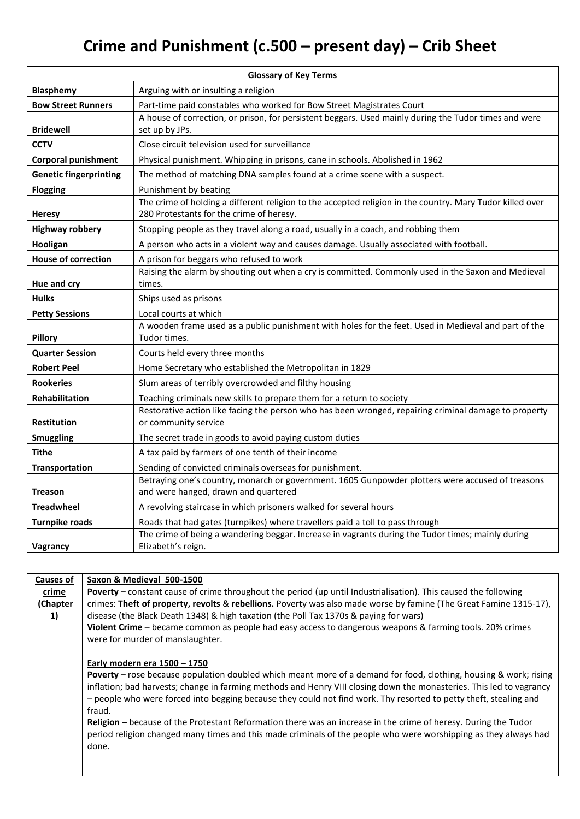## **Crime and Punishment (c.500 – present day) – Crib Sheet**

| <b>Glossary of Key Terms</b>  |                                                                                                                                                       |  |
|-------------------------------|-------------------------------------------------------------------------------------------------------------------------------------------------------|--|
| <b>Blasphemy</b>              | Arguing with or insulting a religion                                                                                                                  |  |
| <b>Bow Street Runners</b>     | Part-time paid constables who worked for Bow Street Magistrates Court                                                                                 |  |
|                               | A house of correction, or prison, for persistent beggars. Used mainly during the Tudor times and were                                                 |  |
| <b>Bridewell</b>              | set up by JPs.                                                                                                                                        |  |
| <b>CCTV</b>                   | Close circuit television used for surveillance                                                                                                        |  |
| <b>Corporal punishment</b>    | Physical punishment. Whipping in prisons, cane in schools. Abolished in 1962                                                                          |  |
| <b>Genetic fingerprinting</b> | The method of matching DNA samples found at a crime scene with a suspect.                                                                             |  |
| <b>Flogging</b>               | Punishment by beating                                                                                                                                 |  |
| <b>Heresy</b>                 | The crime of holding a different religion to the accepted religion in the country. Mary Tudor killed over<br>280 Protestants for the crime of heresy. |  |
| <b>Highway robbery</b>        | Stopping people as they travel along a road, usually in a coach, and robbing them                                                                     |  |
| Hooligan                      | A person who acts in a violent way and causes damage. Usually associated with football.                                                               |  |
| <b>House of correction</b>    | A prison for beggars who refused to work                                                                                                              |  |
| Hue and cry                   | Raising the alarm by shouting out when a cry is committed. Commonly used in the Saxon and Medieval<br>times.                                          |  |
| <b>Hulks</b>                  | Ships used as prisons                                                                                                                                 |  |
| <b>Petty Sessions</b>         | Local courts at which                                                                                                                                 |  |
| Pillory                       | A wooden frame used as a public punishment with holes for the feet. Used in Medieval and part of the<br>Tudor times.                                  |  |
| <b>Quarter Session</b>        | Courts held every three months                                                                                                                        |  |
| <b>Robert Peel</b>            | Home Secretary who established the Metropolitan in 1829                                                                                               |  |
| <b>Rookeries</b>              | Slum areas of terribly overcrowded and filthy housing                                                                                                 |  |
| <b>Rehabilitation</b>         | Teaching criminals new skills to prepare them for a return to society                                                                                 |  |
|                               | Restorative action like facing the person who has been wronged, repairing criminal damage to property                                                 |  |
| <b>Restitution</b>            | or community service                                                                                                                                  |  |
| <b>Smuggling</b>              | The secret trade in goods to avoid paying custom duties                                                                                               |  |
| <b>Tithe</b>                  | A tax paid by farmers of one tenth of their income                                                                                                    |  |
| Transportation                | Sending of convicted criminals overseas for punishment.                                                                                               |  |
| <b>Treason</b>                | Betraying one's country, monarch or government. 1605 Gunpowder plotters were accused of treasons<br>and were hanged, drawn and quartered              |  |
| <b>Treadwheel</b>             | A revolving staircase in which prisoners walked for several hours                                                                                     |  |
| <b>Turnpike roads</b>         | Roads that had gates (turnpikes) where travellers paid a toll to pass through                                                                         |  |
| Vagrancy                      | The crime of being a wandering beggar. Increase in vagrants during the Tudor times; mainly during<br>Elizabeth's reign.                               |  |

**Causes of crime (Chapter 1) Saxon & Medieval 500-1500 Poverty –** constant cause of crime throughout the period (up until Industrialisation). This caused the following crimes: **Theft of property, revolts** & **rebellions.** Poverty was also made worse by famine (The Great Famine 1315-17), disease (the Black Death 1348) & high taxation (the Poll Tax 1370s & paying for wars) **Violent Crime** – became common as people had easy access to dangerous weapons & farming tools. 20% crimes were for murder of manslaughter. **Early modern era 1500 – 1750 Poverty –** rose because population doubled which meant more of a demand for food, clothing, housing & work; rising inflation; bad harvests; change in farming methods and Henry VIII closing down the monasteries. This led to vagrancy – people who were forced into begging because they could not find work. Thy resorted to petty theft, stealing and fraud. **Religion –** because of the Protestant Reformation there was an increase in the crime of heresy. During the Tudor period religion changed many times and this made criminals of the people who were worshipping as they always had done.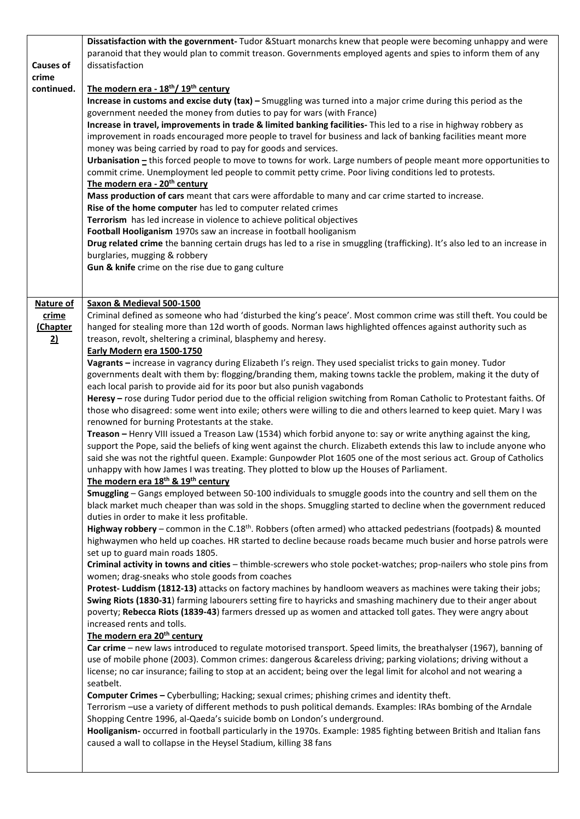|                  | Dissatisfaction with the government- Tudor & Stuart monarchs knew that people were becoming unhappy and were                                                                                                                    |
|------------------|---------------------------------------------------------------------------------------------------------------------------------------------------------------------------------------------------------------------------------|
| <b>Causes of</b> | paranoid that they would plan to commit treason. Governments employed agents and spies to inform them of any<br>dissatisfaction                                                                                                 |
| crime            |                                                                                                                                                                                                                                 |
| continued.       | The modern era - 18 <sup>th</sup> / 19 <sup>th</sup> century                                                                                                                                                                    |
|                  | Increase in customs and excise duty (tax) - Smuggling was turned into a major crime during this period as the                                                                                                                   |
|                  | government needed the money from duties to pay for wars (with France)                                                                                                                                                           |
|                  | Increase in travel, improvements in trade & limited banking facilities- This led to a rise in highway robbery as                                                                                                                |
|                  | improvement in roads encouraged more people to travel for business and lack of banking facilities meant more                                                                                                                    |
|                  | money was being carried by road to pay for goods and services.                                                                                                                                                                  |
|                  | Urbanisation - this forced people to move to towns for work. Large numbers of people meant more opportunities to                                                                                                                |
|                  | commit crime. Unemployment led people to commit petty crime. Poor living conditions led to protests.                                                                                                                            |
|                  | The modern era - 20 <sup>th</sup> century<br>Mass production of cars meant that cars were affordable to many and car crime started to increase.                                                                                 |
|                  | Rise of the home computer has led to computer related crimes                                                                                                                                                                    |
|                  | Terrorism has led increase in violence to achieve political objectives                                                                                                                                                          |
|                  | Football Hooliganism 1970s saw an increase in football hooliganism                                                                                                                                                              |
|                  | Drug related crime the banning certain drugs has led to a rise in smuggling (trafficking). It's also led to an increase in                                                                                                      |
|                  | burglaries, mugging & robbery                                                                                                                                                                                                   |
|                  | Gun & knife crime on the rise due to gang culture                                                                                                                                                                               |
|                  |                                                                                                                                                                                                                                 |
| Nature of        | Saxon & Medieval 500-1500                                                                                                                                                                                                       |
| crime            | Criminal defined as someone who had 'disturbed the king's peace'. Most common crime was still theft. You could be                                                                                                               |
| (Chapter         | hanged for stealing more than 12d worth of goods. Norman laws highlighted offences against authority such as                                                                                                                    |
| 2)               | treason, revolt, sheltering a criminal, blasphemy and heresy.                                                                                                                                                                   |
|                  | Early Modern era 1500-1750                                                                                                                                                                                                      |
|                  | Vagrants - increase in vagrancy during Elizabeth I's reign. They used specialist tricks to gain money. Tudor                                                                                                                    |
|                  | governments dealt with them by: flogging/branding them, making towns tackle the problem, making it the duty of                                                                                                                  |
|                  | each local parish to provide aid for its poor but also punish vagabonds<br>Heresy - rose during Tudor period due to the official religion switching from Roman Catholic to Protestant faiths. Of                                |
|                  | those who disagreed: some went into exile; others were willing to die and others learned to keep quiet. Mary I was                                                                                                              |
|                  | renowned for burning Protestants at the stake.                                                                                                                                                                                  |
|                  | Treason - Henry VIII issued a Treason Law (1534) which forbid anyone to: say or write anything against the king,                                                                                                                |
|                  | support the Pope, said the beliefs of king went against the church. Elizabeth extends this law to include anyone who                                                                                                            |
|                  | said she was not the rightful queen. Example: Gunpowder Plot 1605 one of the most serious act. Group of Catholics                                                                                                               |
|                  | unhappy with how James I was treating. They plotted to blow up the Houses of Parliament.                                                                                                                                        |
|                  | The modern era 18 <sup>th</sup> & 19 <sup>th</sup> century                                                                                                                                                                      |
|                  | Smuggling - Gangs employed between 50-100 individuals to smuggle goods into the country and sell them on the<br>black market much cheaper than was sold in the shops. Smuggling started to decline when the government reduced  |
|                  | duties in order to make it less profitable.                                                                                                                                                                                     |
|                  | Highway robbery – common in the C.18 <sup>th</sup> . Robbers (often armed) who attacked pedestrians (footpads) & mounted                                                                                                        |
|                  | highwaymen who held up coaches. HR started to decline because roads became much busier and horse patrols were                                                                                                                   |
|                  | set up to guard main roads 1805.                                                                                                                                                                                                |
|                  | Criminal activity in towns and cities - thimble-screwers who stole pocket-watches; prop-nailers who stole pins from                                                                                                             |
|                  | women; drag-sneaks who stole goods from coaches                                                                                                                                                                                 |
|                  | Protest- Luddism (1812-13) attacks on factory machines by handloom weavers as machines were taking their jobs;                                                                                                                  |
|                  | Swing Riots (1830-31) farming labourers setting fire to hayricks and smashing machinery due to their anger about<br>poverty; Rebecca Riots (1839-43) farmers dressed up as women and attacked toll gates. They were angry about |
|                  | increased rents and tolls.                                                                                                                                                                                                      |
|                  | The modern era 20 <sup>th</sup> century                                                                                                                                                                                         |
|                  | Car crime - new laws introduced to regulate motorised transport. Speed limits, the breathalyser (1967), banning of                                                                                                              |
|                  | use of mobile phone (2003). Common crimes: dangerous &careless driving; parking violations; driving without a                                                                                                                   |
|                  | license; no car insurance; failing to stop at an accident; being over the legal limit for alcohol and not wearing a                                                                                                             |
|                  | seatbelt.                                                                                                                                                                                                                       |
|                  | Computer Crimes - Cyberbulling; Hacking; sexual crimes; phishing crimes and identity theft.                                                                                                                                     |
|                  | Terrorism -use a variety of different methods to push political demands. Examples: IRAs bombing of the Arndale<br>Shopping Centre 1996, al-Qaeda's suicide bomb on London's underground.                                        |
|                  | Hooliganism- occurred in football particularly in the 1970s. Example: 1985 fighting between British and Italian fans                                                                                                            |
|                  | caused a wall to collapse in the Heysel Stadium, killing 38 fans                                                                                                                                                                |
|                  |                                                                                                                                                                                                                                 |
|                  |                                                                                                                                                                                                                                 |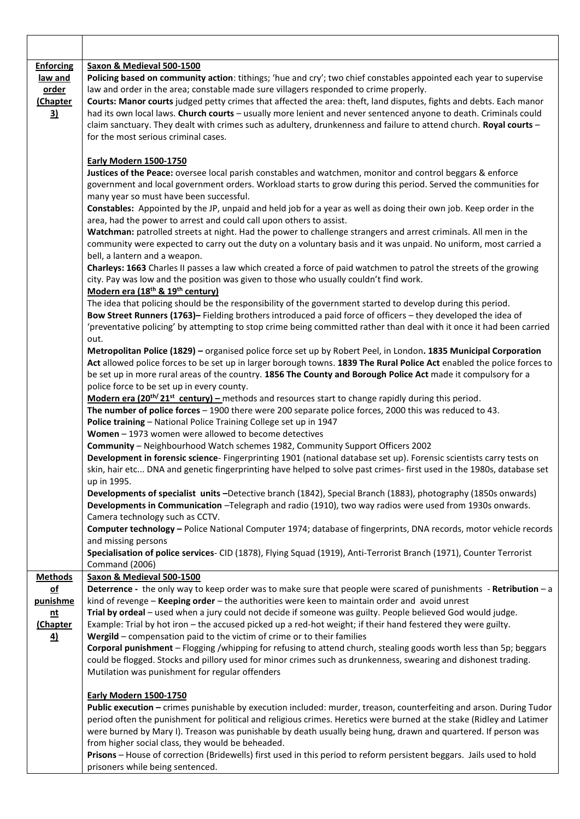| <b>Enforcing</b>        | Saxon & Medieval 500-1500                                                                                                                                                                                                                                                                                                                                   |
|-------------------------|-------------------------------------------------------------------------------------------------------------------------------------------------------------------------------------------------------------------------------------------------------------------------------------------------------------------------------------------------------------|
| <u>law and</u><br>order | Policing based on community action: tithings; 'hue and cry'; two chief constables appointed each year to supervise<br>law and order in the area; constable made sure villagers responded to crime properly.<br>Courts: Manor courts judged petty crimes that affected the area: theft, land disputes, fights and debts. Each manor                          |
| (Chapter<br>3)          | had its own local laws. Church courts - usually more lenient and never sentenced anyone to death. Criminals could<br>claim sanctuary. They dealt with crimes such as adultery, drunkenness and failure to attend church. Royal courts -                                                                                                                     |
|                         | for the most serious criminal cases.                                                                                                                                                                                                                                                                                                                        |
|                         | <b>Early Modern 1500-1750</b><br>Justices of the Peace: oversee local parish constables and watchmen, monitor and control beggars & enforce                                                                                                                                                                                                                 |
|                         | government and local government orders. Workload starts to grow during this period. Served the communities for<br>many year so must have been successful.                                                                                                                                                                                                   |
|                         | Constables: Appointed by the JP, unpaid and held job for a year as well as doing their own job. Keep order in the<br>area, had the power to arrest and could call upon others to assist.                                                                                                                                                                    |
|                         | Watchman: patrolled streets at night. Had the power to challenge strangers and arrest criminals. All men in the<br>community were expected to carry out the duty on a voluntary basis and it was unpaid. No uniform, most carried a                                                                                                                         |
|                         | bell, a lantern and a weapon.<br>Charleys: 1663 Charles II passes a law which created a force of paid watchmen to patrol the streets of the growing<br>city. Pay was low and the position was given to those who usually couldn't find work.                                                                                                                |
|                         | Modern era (18 <sup>th</sup> & 19 <sup>th</sup> century)<br>The idea that policing should be the responsibility of the government started to develop during this period.                                                                                                                                                                                    |
|                         | Bow Street Runners (1763)- Fielding brothers introduced a paid force of officers - they developed the idea of<br>'preventative policing' by attempting to stop crime being committed rather than deal with it once it had been carried                                                                                                                      |
|                         | out.                                                                                                                                                                                                                                                                                                                                                        |
|                         | Metropolitan Police (1829) - organised police force set up by Robert Peel, in London. 1835 Municipal Corporation<br>Act allowed police forces to be set up in larger borough towns. 1839 The Rural Police Act enabled the police forces to<br>be set up in more rural areas of the country. 1856 The County and Borough Police Act made it compulsory for a |
|                         | police force to be set up in every county.                                                                                                                                                                                                                                                                                                                  |
|                         | Modern era (20 <sup>th/</sup> 21 <sup>st</sup> century) – methods and resources start to change rapidly during this period.                                                                                                                                                                                                                                 |
|                         | The number of police forces - 1900 there were 200 separate police forces, 2000 this was reduced to 43.                                                                                                                                                                                                                                                      |
|                         | Police training - National Police Training College set up in 1947                                                                                                                                                                                                                                                                                           |
|                         | Women - 1973 women were allowed to become detectives<br>Community - Neighbourhood Watch schemes 1982, Community Support Officers 2002                                                                                                                                                                                                                       |
|                         | Development in forensic science- Fingerprinting 1901 (national database set up). Forensic scientists carry tests on                                                                                                                                                                                                                                         |
|                         | skin, hair etc DNA and genetic fingerprinting have helped to solve past crimes-first used in the 1980s, database set<br>up in 1995.                                                                                                                                                                                                                         |
|                         | Developments of specialist units -Detective branch (1842), Special Branch (1883), photography (1850s onwards)<br>Developments in Communication - Telegraph and radio (1910), two way radios were used from 1930s onwards.<br>Camera technology such as CCTV.                                                                                                |
|                         | Computer technology - Police National Computer 1974; database of fingerprints, DNA records, motor vehicle records<br>and missing persons                                                                                                                                                                                                                    |
|                         | Specialisation of police services- CID (1878), Flying Squad (1919), Anti-Terrorist Branch (1971), Counter Terrorist<br>Command (2006)                                                                                                                                                                                                                       |
| <b>Methods</b>          | Saxon & Medieval 500-1500                                                                                                                                                                                                                                                                                                                                   |
| $\underline{of}$        | Deterrence - the only way to keep order was to make sure that people were scared of punishments - Retribution - a                                                                                                                                                                                                                                           |
| punishme                | kind of revenge - Keeping order - the authorities were keen to maintain order and avoid unrest                                                                                                                                                                                                                                                              |
| <u>nt</u><br>(Chapter   | Trial by ordeal - used when a jury could not decide if someone was guilty. People believed God would judge.<br>Example: Trial by hot iron - the accused picked up a red-hot weight; if their hand festered they were guilty.                                                                                                                                |
| <u>4)</u>               | Wergild - compensation paid to the victim of crime or to their families                                                                                                                                                                                                                                                                                     |
|                         | Corporal punishment - Flogging /whipping for refusing to attend church, stealing goods worth less than 5p; beggars                                                                                                                                                                                                                                          |
|                         | could be flogged. Stocks and pillory used for minor crimes such as drunkenness, swearing and dishonest trading.<br>Mutilation was punishment for regular offenders                                                                                                                                                                                          |
|                         | <b>Early Modern 1500-1750</b>                                                                                                                                                                                                                                                                                                                               |
|                         | Public execution - crimes punishable by execution included: murder, treason, counterfeiting and arson. During Tudor                                                                                                                                                                                                                                         |
|                         | period often the punishment for political and religious crimes. Heretics were burned at the stake (Ridley and Latimer<br>were burned by Mary I). Treason was punishable by death usually being hung, drawn and quartered. If person was                                                                                                                     |
|                         | from higher social class, they would be beheaded.<br>Prisons - House of correction (Bridewells) first used in this period to reform persistent beggars. Jails used to hold<br>prisoners while being sentenced.                                                                                                                                              |
|                         |                                                                                                                                                                                                                                                                                                                                                             |